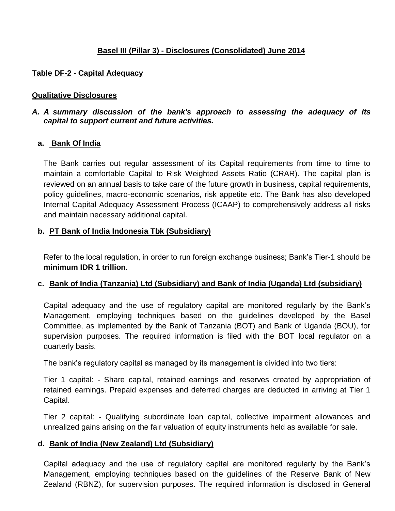# **Basel III (Pillar 3) - Disclosures (Consolidated) June 2014**

## **Table DF-2 - Capital Adequacy**

#### **Qualitative Disclosures**

### *A. A summary discussion of the bank's approach to assessing the adequacy of its capital to support current and future activities.*

#### **a. Bank Of India**

The Bank carries out regular assessment of its Capital requirements from time to time to maintain a comfortable Capital to Risk Weighted Assets Ratio (CRAR). The capital plan is reviewed on an annual basis to take care of the future growth in business, capital requirements, policy guidelines, macro-economic scenarios, risk appetite etc. The Bank has also developed Internal Capital Adequacy Assessment Process (ICAAP) to comprehensively address all risks and maintain necessary additional capital.

#### **b. PT Bank of India Indonesia Tbk (Subsidiary)**

Refer to the local regulation, in order to run foreign exchange business; Bank"s Tier-1 should be **minimum IDR 1 trillion**.

#### **c. Bank of India (Tanzania) Ltd (Subsidiary) and Bank of India (Uganda) Ltd (subsidiary)**

Capital adequacy and the use of regulatory capital are monitored regularly by the Bank"s Management, employing techniques based on the guidelines developed by the Basel Committee, as implemented by the Bank of Tanzania (BOT) and Bank of Uganda (BOU), for supervision purposes. The required information is filed with the BOT local regulator on a quarterly basis.

The bank"s regulatory capital as managed by its management is divided into two tiers:

Tier 1 capital: - Share capital, retained earnings and reserves created by appropriation of retained earnings. Prepaid expenses and deferred charges are deducted in arriving at Tier 1 Capital.

Tier 2 capital: - Qualifying subordinate loan capital, collective impairment allowances and unrealized gains arising on the fair valuation of equity instruments held as available for sale.

#### **d. Bank of India (New Zealand) Ltd (Subsidiary)**

Capital adequacy and the use of regulatory capital are monitored regularly by the Bank"s Management, employing techniques based on the guidelines of the Reserve Bank of New Zealand (RBNZ), for supervision purposes. The required information is disclosed in General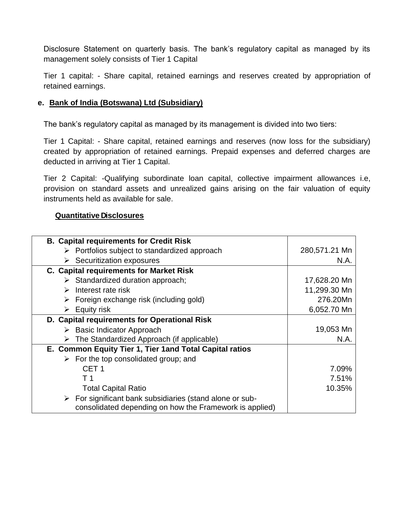Disclosure Statement on quarterly basis. The bank's regulatory capital as managed by its management solely consists of Tier 1 Capital

Tier 1 capital: - Share capital, retained earnings and reserves created by appropriation of retained earnings.

#### **e. Bank of India (Botswana) Ltd (Subsidiary)**

The bank"s regulatory capital as managed by its management is divided into two tiers:

Tier 1 Capital: - Share capital, retained earnings and reserves (now loss for the subsidiary) created by appropriation of retained earnings. Prepaid expenses and deferred charges are deducted in arriving at Tier 1 Capital.

Tier 2 Capital: -Qualifying subordinate loan capital, collective impairment allowances i.e, provision on standard assets and unrealized gains arising on the fair valuation of equity instruments held as available for sale.

#### **Quantitative Disclosures**

| <b>B. Capital requirements for Credit Risk</b>                                                                                     |               |
|------------------------------------------------------------------------------------------------------------------------------------|---------------|
| $\triangleright$ Portfolios subject to standardized approach                                                                       | 280,571.21 Mn |
| $\triangleright$ Securitization exposures                                                                                          | N.A.          |
| <b>C. Capital requirements for Market Risk</b>                                                                                     |               |
| $\triangleright$ Standardized duration approach;                                                                                   | 17,628.20 Mn  |
| Interest rate risk<br>➤                                                                                                            | 11,299.30 Mn  |
| $\triangleright$ Foreign exchange risk (including gold)                                                                            | 276.20Mn      |
| $\triangleright$ Equity risk                                                                                                       | 6,052.70 Mn   |
| D. Capital requirements for Operational Risk                                                                                       |               |
| $\triangleright$ Basic Indicator Approach                                                                                          | 19,053 Mn     |
| The Standardized Approach (if applicable)<br>≻                                                                                     | N.A.          |
| E. Common Equity Tier 1, Tier 1 and Total Capital ratios                                                                           |               |
| $\triangleright$ For the top consolidated group; and                                                                               |               |
| CET <sub>1</sub>                                                                                                                   | 7.09%         |
| T 1                                                                                                                                | 7.51%         |
| <b>Total Capital Ratio</b>                                                                                                         | 10.35%        |
| $\triangleright$ For significant bank subsidiaries (stand alone or sub-<br>consolidated depending on how the Framework is applied) |               |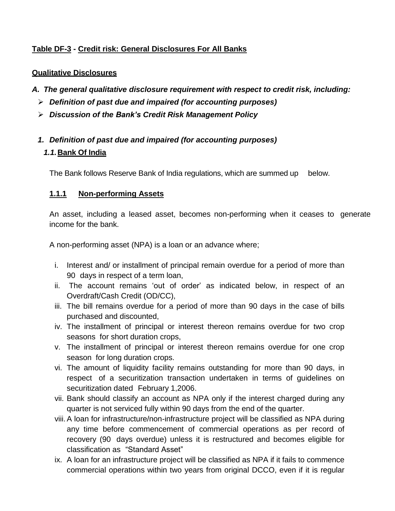# **Table DF-3 - Credit risk: General Disclosures For All Banks**

## **Qualitative Disclosures**

- *A. The general qualitative disclosure requirement with respect to credit risk, including:*
	- *Definition of past due and impaired (for accounting purposes)*
	- *Discussion of the Bank's Credit Risk Management Policy*
	- *1. Definition of past due and impaired (for accounting purposes)*

## *1.1.***Bank Of India**

The Bank follows Reserve Bank of India regulations, which are summed up below.

## **1.1.1 Non-performing Assets**

An asset, including a leased asset, becomes non-performing when it ceases to generate income for the bank.

A non-performing asset (NPA) is a loan or an advance where;

- i. Interest and/ or installment of principal remain overdue for a period of more than 90 days in respect of a term loan,
- ii. The account remains 'out of order' as indicated below, in respect of an Overdraft/Cash Credit (OD/CC),
- iii. The bill remains overdue for a period of more than 90 days in the case of bills purchased and discounted,
- iv. The installment of principal or interest thereon remains overdue for two crop seasons for short duration crops,
- v. The installment of principal or interest thereon remains overdue for one crop season for long duration crops.
- vi. The amount of liquidity facility remains outstanding for more than 90 days, in respect of a securitization transaction undertaken in terms of guidelines on securitization dated February 1,2006.
- vii. Bank should classify an account as NPA only if the interest charged during any quarter is not serviced fully within 90 days from the end of the quarter.
- viii.A loan for infrastructure/non-infrastructure project will be classified as NPA during any time before commencement of commercial operations as per record of recovery (90 days overdue) unless it is restructured and becomes eligible for classification as "Standard Asset"
- ix. A loan for an infrastructure project will be classified as NPA if it fails to commence commercial operations within two years from original DCCO, even if it is regular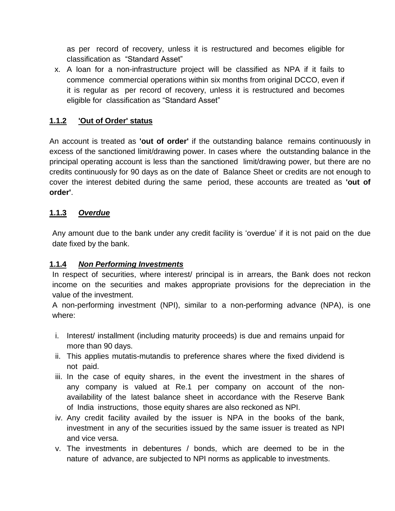as per record of recovery, unless it is restructured and becomes eligible for classification as "Standard Asset"

x. A loan for a non-infrastructure project will be classified as NPA if it fails to commence commercial operations within six months from original DCCO, even if it is regular as per record of recovery, unless it is restructured and becomes eligible for classification as "Standard Asset"

# **1.1.2 'Out of Order' status**

An account is treated as **'out of order'** if the outstanding balance remains continuously in excess of the sanctioned limit/drawing power. In cases where the outstanding balance in the principal operating account is less than the sanctioned limit/drawing power, but there are no credits continuously for 90 days as on the date of Balance Sheet or credits are not enough to cover the interest debited during the same period, these accounts are treated as **'out of order'**.

### **1.1.3** *Overdue*

Any amount due to the bank under any credit facility is "overdue" if it is not paid on the due date fixed by the bank.

#### **1.1.4** *Non Performing Investments*

In respect of securities, where interest/ principal is in arrears, the Bank does not reckon income on the securities and makes appropriate provisions for the depreciation in the value of the investment.

A non-performing investment (NPI), similar to a non-performing advance (NPA), is one where:

- i. Interest/ installment (including maturity proceeds) is due and remains unpaid for more than 90 days.
- ii. This applies mutatis-mutandis to preference shares where the fixed dividend is not paid.
- iii. In the case of equity shares, in the event the investment in the shares of any company is valued at Re.1 per company on account of the nonavailability of the latest balance sheet in accordance with the Reserve Bank of India instructions, those equity shares are also reckoned as NPI.
- iv. Any credit facility availed by the issuer is NPA in the books of the bank, investment in any of the securities issued by the same issuer is treated as NPI and vice versa.
- v. The investments in debentures / bonds, which are deemed to be in the nature of advance, are subjected to NPI norms as applicable to investments.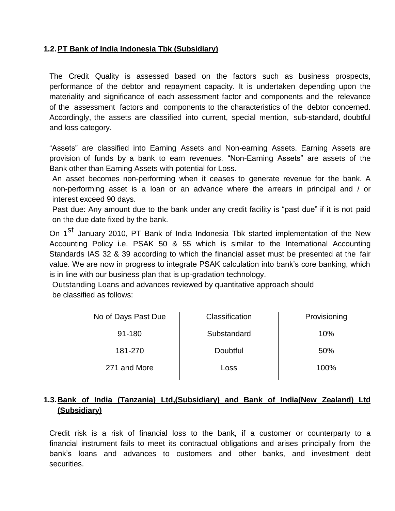## **1.2.PT Bank of India Indonesia Tbk (Subsidiary)**

The Credit Quality is assessed based on the factors such as business prospects, performance of the debtor and repayment capacity. It is undertaken depending upon the materiality and significance of each assessment factor and components and the relevance of the assessment factors and components to the characteristics of the debtor concerned. Accordingly, the assets are classified into current, special mention, sub-standard, doubtful and loss category.

"Assets" are classified into Earning Assets and Non-earning Assets. Earning Assets are provision of funds by a bank to earn revenues. "Non-Earning Assets" are assets of the Bank other than Earning Assets with potential for Loss.

An asset becomes non-performing when it ceases to generate revenue for the bank. A non-performing asset is a loan or an advance where the arrears in principal and / or interest exceed 90 days.

Past due: Any amount due to the bank under any credit facility is "past due" if it is not paid on the due date fixed by the bank.

On 1<sup>St</sup> January 2010, PT Bank of India Indonesia Tbk started implementation of the New Accounting Policy i.e. PSAK 50 & 55 which is similar to the International Accounting Standards IAS 32 & 39 according to which the financial asset must be presented at the fair value. We are now in progress to integrate PSAK calculation into bank"s core banking, which is in line with our business plan that is up-gradation technology.

Outstanding Loans and advances reviewed by quantitative approach should be classified as follows:

| No of Days Past Due | Classification | Provisioning |
|---------------------|----------------|--------------|
| 91-180              | Substandard    | 10%          |
| 181-270             | Doubtful       | 50%          |
| 271 and More        | LOSS           | 100%         |

# **1.3.Bank of India (Tanzania) Ltd,(Subsidiary) and Bank of India(New Zealand) Ltd (Subsidiary)**

Credit risk is a risk of financial loss to the bank, if a customer or counterparty to a financial instrument fails to meet its contractual obligations and arises principally from the bank"s loans and advances to customers and other banks, and investment debt securities.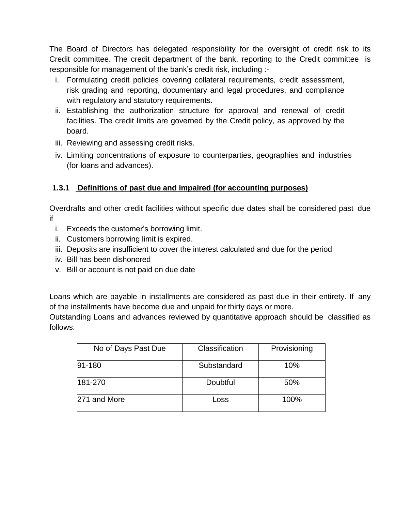The Board of Directors has delegated responsibility for the oversight of credit risk to its Credit committee. The credit department of the bank, reporting to the Credit committee is responsible for management of the bank"s credit risk, including :-

- i. Formulating credit policies covering collateral requirements, credit assessment, risk grading and reporting, documentary and legal procedures, and compliance with regulatory and statutory requirements.
- ii. Establishing the authorization structure for approval and renewal of credit facilities. The credit limits are governed by the Credit policy, as approved by the board.
- iii. Reviewing and assessing credit risks.
- iv. Limiting concentrations of exposure to counterparties, geographies and industries (for loans and advances).

# **1.3.1 Definitions of past due and impaired (for accounting purposes)**

Overdrafts and other credit facilities without specific due dates shall be considered past due if

- i. Exceeds the customer"s borrowing limit.
- ii. Customers borrowing limit is expired.
- iii. Deposits are insufficient to cover the interest calculated and due for the period
- iv. Bill has been dishonored
- v. Bill or account is not paid on due date

Loans which are payable in installments are considered as past due in their entirety. If any of the installments have become due and unpaid for thirty days or more.

Outstanding Loans and advances reviewed by quantitative approach should be classified as follows:

| No of Days Past Due | Classification | Provisioning |
|---------------------|----------------|--------------|
| $91 - 180$          | Substandard    | 10%          |
| $ 181 - 270 $       | Doubtful       | 50%          |
| 271 and More        | Loss           | 100%         |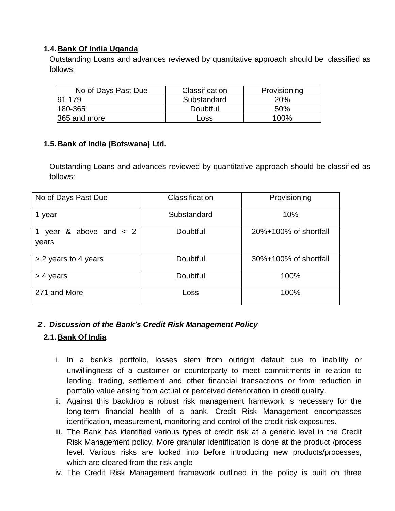## **1.4.Bank Of India Uganda**

Outstanding Loans and advances reviewed by quantitative approach should be classified as follows:

| No of Days Past Due | Classification | Provisioning    |
|---------------------|----------------|-----------------|
| 91-179              | Substandard    | 20 <sub>%</sub> |
| 180-365             | Doubtful       | .50%            |
| 365 and more        | Loss           | 100%            |

### **1.5.Bank of India (Botswana) Ltd.**

Outstanding Loans and advances reviewed by quantitative approach should be classified as follows:

| No of Days Past Due                  | Classification | Provisioning          |
|--------------------------------------|----------------|-----------------------|
| 1 year                               | Substandard    | 10%                   |
| & above and $\lt$ 2<br>year<br>years | Doubtful       | 20%+100% of shortfall |
| > 2 years to 4 years                 | Doubtful       | 30%+100% of shortfall |
| $>$ 4 years                          | Doubtful       | 100%                  |
| 271 and More                         | Loss           | 100%                  |

## *2 . Discussion of the Bank's Credit Risk Management Policy*

#### **2.1.Bank Of India**

- i. In a bank"s portfolio, losses stem from outright default due to inability or unwillingness of a customer or counterparty to meet commitments in relation to lending, trading, settlement and other financial transactions or from reduction in portfolio value arising from actual or perceived deterioration in credit quality.
- ii. Against this backdrop a robust risk management framework is necessary for the long-term financial health of a bank. Credit Risk Management encompasses identification, measurement, monitoring and control of the credit risk exposures.
- iii. The Bank has identified various types of credit risk at a generic level in the Credit Risk Management policy. More granular identification is done at the product /process level. Various risks are looked into before introducing new products/processes, which are cleared from the risk angle
- iv. The Credit Risk Management framework outlined in the policy is built on three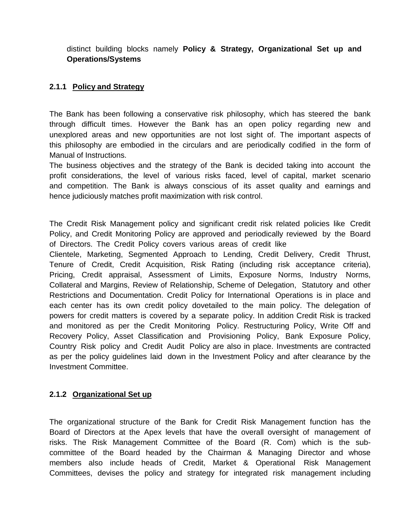distinct building blocks namely **Policy & Strategy, Organizational Set up and Operations/Systems**

## **2.1.1 Policy and Strategy**

The Bank has been following a conservative risk philosophy, which has steered the bank through difficult times. However the Bank has an open policy regarding new and unexplored areas and new opportunities are not lost sight of. The important aspects of this philosophy are embodied in the circulars and are periodically codified in the form of Manual of Instructions.

The business objectives and the strategy of the Bank is decided taking into account the profit considerations, the level of various risks faced, level of capital, market scenario and competition. The Bank is always conscious of its asset quality and earnings and hence judiciously matches profit maximization with risk control.

The Credit Risk Management policy and significant credit risk related policies like Credit Policy, and Credit Monitoring Policy are approved and periodically reviewed by the Board of Directors. The Credit Policy covers various areas of credit like

Clientele, Marketing, Segmented Approach to Lending, Credit Delivery, Credit Thrust, Tenure of Credit, Credit Acquisition, Risk Rating (including risk acceptance criteria), Pricing, Credit appraisal, Assessment of Limits, Exposure Norms, Industry Norms, Collateral and Margins, Review of Relationship, Scheme of Delegation, Statutory and other Restrictions and Documentation. Credit Policy for International Operations is in place and each center has its own credit policy dovetailed to the main policy. The delegation of powers for credit matters is covered by a separate policy. In addition Credit Risk is tracked and monitored as per the Credit Monitoring Policy. Restructuring Policy, Write Off and Recovery Policy, Asset Classification and Provisioning Policy, Bank Exposure Policy, Country Risk policy and Credit Audit Policy are also in place. Investments are contracted as per the policy guidelines laid down in the Investment Policy and after clearance by the Investment Committee.

#### **2.1.2 Organizational Set up**

The organizational structure of the Bank for Credit Risk Management function has the Board of Directors at the Apex levels that have the overall oversight of management of risks. The Risk Management Committee of the Board (R. Com) which is the subcommittee of the Board headed by the Chairman & Managing Director and whose members also include heads of Credit, Market & Operational Risk Management Committees, devises the policy and strategy for integrated risk management including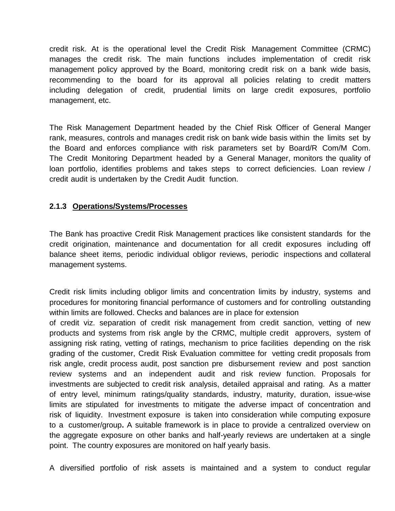credit risk. At is the operational level the Credit Risk Management Committee (CRMC) manages the credit risk. The main functions includes implementation of credit risk management policy approved by the Board, monitoring credit risk on a bank wide basis, recommending to the board for its approval all policies relating to credit matters including delegation of credit, prudential limits on large credit exposures, portfolio management, etc.

The Risk Management Department headed by the Chief Risk Officer of General Manger rank, measures, controls and manages credit risk on bank wide basis within the limits set by the Board and enforces compliance with risk parameters set by Board/R Com/M Com. The Credit Monitoring Department headed by a General Manager, monitors the quality of loan portfolio, identifies problems and takes steps to correct deficiencies. Loan review / credit audit is undertaken by the Credit Audit function.

#### **2.1.3 Operations/Systems/Processes**

The Bank has proactive Credit Risk Management practices like consistent standards for the credit origination, maintenance and documentation for all credit exposures including off balance sheet items, periodic individual obligor reviews, periodic inspections and collateral management systems.

Credit risk limits including obligor limits and concentration limits by industry, systems and procedures for monitoring financial performance of customers and for controlling outstanding within limits are followed. Checks and balances are in place for extension

of credit viz. separation of credit risk management from credit sanction, vetting of new products and systems from risk angle by the CRMC, multiple credit approvers, system of assigning risk rating, vetting of ratings, mechanism to price facilities depending on the risk grading of the customer, Credit Risk Evaluation committee for vetting credit proposals from risk angle, credit process audit, post sanction pre disbursement review and post sanction review systems and an independent audit and risk review function. Proposals for investments are subjected to credit risk analysis, detailed appraisal and rating. As a matter of entry level, minimum ratings/quality standards, industry, maturity, duration, issue-wise limits are stipulated for investments to mitigate the adverse impact of concentration and risk of liquidity. Investment exposure is taken into consideration while computing exposure to a customer/group**.** A suitable framework is in place to provide a centralized overview on the aggregate exposure on other banks and half-yearly reviews are undertaken at a single point. The country exposures are monitored on half yearly basis.

A diversified portfolio of risk assets is maintained and a system to conduct regular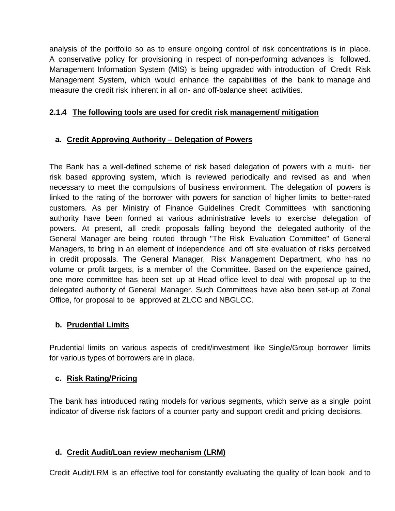analysis of the portfolio so as to ensure ongoing control of risk concentrations is in place. A conservative policy for provisioning in respect of non-performing advances is followed. Management Information System (MIS) is being upgraded with introduction of Credit Risk Management System, which would enhance the capabilities of the bank to manage and measure the credit risk inherent in all on- and off-balance sheet activities.

## **2.1.4 The following tools are used for credit risk management/ mitigation**

# **a. Credit Approving Authority – Delegation of Powers**

The Bank has a well-defined scheme of risk based delegation of powers with a multi- tier risk based approving system, which is reviewed periodically and revised as and when necessary to meet the compulsions of business environment. The delegation of powers is linked to the rating of the borrower with powers for sanction of higher limits to better-rated customers. As per Ministry of Finance Guidelines Credit Committees with sanctioning authority have been formed at various administrative levels to exercise delegation of powers. At present, all credit proposals falling beyond the delegated authority of the General Manager are being routed through "The Risk Evaluation Committee" of General Managers, to bring in an element of independence and off site evaluation of risks perceived in credit proposals. The General Manager, Risk Management Department, who has no volume or profit targets, is a member of the Committee. Based on the experience gained, one more committee has been set up at Head office level to deal with proposal up to the delegated authority of General Manager. Such Committees have also been set-up at Zonal Office, for proposal to be approved at ZLCC and NBGLCC.

## **b. Prudential Limits**

Prudential limits on various aspects of credit/investment like Single/Group borrower limits for various types of borrowers are in place.

## **c. Risk Rating/Pricing**

The bank has introduced rating models for various segments, which serve as a single point indicator of diverse risk factors of a counter party and support credit and pricing decisions.

#### **d. Credit Audit/Loan review mechanism (LRM)**

Credit Audit/LRM is an effective tool for constantly evaluating the quality of loan book and to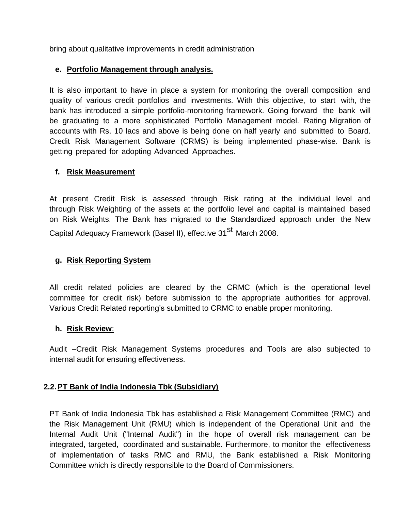bring about qualitative improvements in credit administration

## **e. Portfolio Management through analysis.**

It is also important to have in place a system for monitoring the overall composition and quality of various credit portfolios and investments. With this objective, to start with, the bank has introduced a simple portfolio-monitoring framework. Going forward the bank will be graduating to a more sophisticated Portfolio Management model. Rating Migration of accounts with Rs. 10 lacs and above is being done on half yearly and submitted to Board. Credit Risk Management Software (CRMS) is being implemented phase-wise. Bank is getting prepared for adopting Advanced Approaches.

### **f. Risk Measurement**

At present Credit Risk is assessed through Risk rating at the individual level and through Risk Weighting of the assets at the portfolio level and capital is maintained based on Risk Weights. The Bank has migrated to the Standardized approach under the New Capital Adequacy Framework (Basel II), effective 31<sup>st</sup> March 2008.

## **g. Risk Reporting System**

All credit related policies are cleared by the CRMC (which is the operational level committee for credit risk) before submission to the appropriate authorities for approval. Various Credit Related reporting"s submitted to CRMC to enable proper monitoring.

#### **h. Risk Review**:

Audit –Credit Risk Management Systems procedures and Tools are also subjected to internal audit for ensuring effectiveness.

#### **2.2.PT Bank of India Indonesia Tbk (Subsidiary)**

PT Bank of India Indonesia Tbk has established a Risk Management Committee (RMC) and the Risk Management Unit (RMU) which is independent of the Operational Unit and the Internal Audit Unit ("Internal Audit") in the hope of overall risk management can be integrated, targeted, coordinated and sustainable. Furthermore, to monitor the effectiveness of implementation of tasks RMC and RMU, the Bank established a Risk Monitoring Committee which is directly responsible to the Board of Commissioners.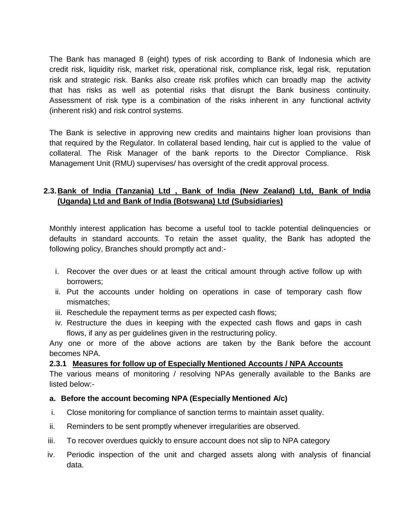The Bank has managed 8 (eight) types of risk according to Bank of Indonesia which are credit risk, liquidity risk, market risk, operational risk, compliance risk, legal risk, reputation risk and strategic risk. Banks also create risk profiles which can broadly map the activity that has risks as well as potential risks that disrupt the Bank business continuity. Assessment of risk type is a combination of the risks inherent in any functional activity (inherent risk) and risk control systems.

The Bank is selective in approving new credits and maintains higher loan provisions than that required by the Regulator. In collateral based lending, hair cut is applied to the value of collateral. The Risk Manager of the bank reports to the Director Compliance. Risk Management Unit (RMU) supervises/ has oversight of the credit approval process.

# **2.3.Bank of India (Tanzania) Ltd , Bank of India (New Zealand) Ltd, Bank of India (Uganda) Ltd and Bank of India (Botswana) Ltd (Subsidiaries)**

Monthly interest application has become a useful tool to tackle potential delinquencies or defaults in standard accounts. To retain the asset quality, the Bank has adopted the following policy, Branches should promptly act and:-

- i. Recover the over dues or at least the critical amount through active follow up with borrowers;
- ii. Put the accounts under holding on operations in case of temporary cash flow mismatches;
- iii. Reschedule the repayment terms as per expected cash flows;
- iv. Restructure the dues in keeping with the expected cash flows and gaps in cash flows, if any as per guidelines given in the restructuring policy.

Any one or more of the above actions are taken by the Bank before the account becomes NPA.

#### **2.3.1 Measures for follow up of Especially Mentioned Accounts / NPA Accounts**

The various means of monitoring / resolving NPAs generally available to the Banks are listed below:-

#### **a. Before the account becoming NPA (Especially Mentioned A/c)**

- i. Close monitoring for compliance of sanction terms to maintain asset quality.
- ii. Reminders to be sent promptly whenever irregularities are observed.
- iii. To recover overdues quickly to ensure account does not slip to NPA category
- iv. Periodic inspection of the unit and charged assets along with analysis of financial data.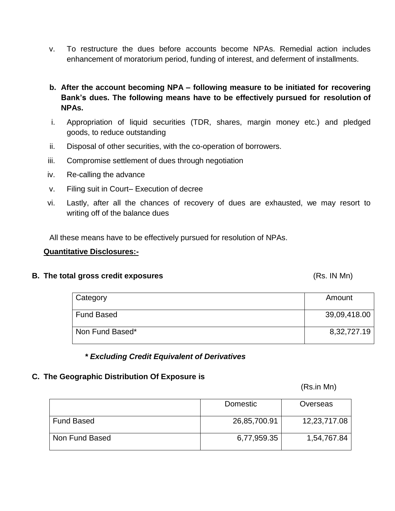- v. To restructure the dues before accounts become NPAs. Remedial action includes enhancement of moratorium period, funding of interest, and deferment of installments.
- **b. After the account becoming NPA – following measure to be initiated for recovering Bank's dues. The following means have to be effectively pursued for resolution of NPAs.**
- i. Appropriation of liquid securities (TDR, shares, margin money etc.) and pledged goods, to reduce outstanding
- ii. Disposal of other securities, with the co-operation of borrowers.
- iii. Compromise settlement of dues through negotiation
- iv. Re-calling the advance
- v. Filing suit in Court– Execution of decree
- vi. Lastly, after all the chances of recovery of dues are exhausted, we may resort to writing off of the balance dues

All these means have to be effectively pursued for resolution of NPAs.

#### **Quantitative Disclosures:-**

#### **B.** The total gross credit exposures **EXACTE EXACTE EXACTE EXACTE EXACTE EXACTE EXACTE (RS. IN Mn)**

| Category          | Amount       |
|-------------------|--------------|
| <b>Fund Based</b> | 39,09,418.00 |
| Non Fund Based*   | 8,32,727.19  |

#### *\* Excluding Credit Equivalent of Derivatives*

#### **C. The Geographic Distribution Of Exposure is**

(Rs.in Mn)

|                   | Domestic     | Overseas     |
|-------------------|--------------|--------------|
| <b>Fund Based</b> | 26,85,700.91 | 12,23,717.08 |
| Non Fund Based    | 6,77,959.35  | 1,54,767.84  |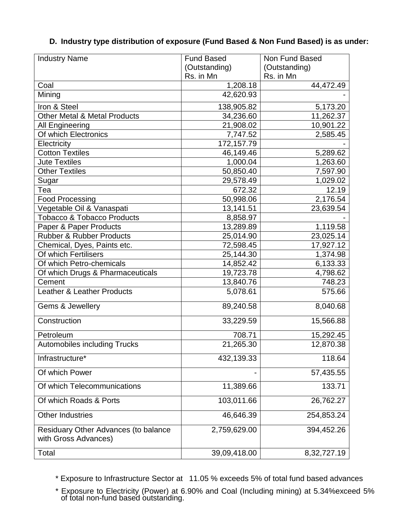| <b>Industry Name</b>                                         | <b>Fund Based</b> | Non Fund Based |
|--------------------------------------------------------------|-------------------|----------------|
|                                                              | (Outstanding)     | (Outstanding)  |
|                                                              | Rs. in Mn         | Rs. in Mn      |
| Coal                                                         | 1,208.18          | 44,472.49      |
| Mining                                                       | 42,620.93         |                |
| Iron & Steel                                                 | 138,905.82        | 5,173.20       |
| <b>Other Metal &amp; Metal Products</b>                      | 34,236.60         | 11,262.37      |
| All Engineering                                              | 21,908.02         | 10,901.22      |
| Of which Electronics                                         | 7,747.52          | 2,585.45       |
| Electricity                                                  | 172,157.79        |                |
| <b>Cotton Textiles</b>                                       | 46,149.46         | 5,289.62       |
| <b>Jute Textiles</b>                                         | 1,000.04          | 1,263.60       |
| <b>Other Textiles</b>                                        | 50,850.40         | 7,597.90       |
| Sugar                                                        | 29,578.49         | 1,029.02       |
| Tea                                                          | 672.32            | 12.19          |
| <b>Food Processing</b>                                       | 50,998.06         | 2,176.54       |
| Vegetable Oil & Vanaspati                                    | 13,141.51         | 23,639.54      |
| <b>Tobacco &amp; Tobacco Products</b>                        | 8,858.97          |                |
| Paper & Paper Products                                       | 13,289.89         | 1,119.58       |
| <b>Rubber &amp; Rubber Products</b>                          | 25,014.90         | 23,025.14      |
| Chemical, Dyes, Paints etc.                                  | 72,598.45         | 17,927.12      |
| Of which Fertilisers                                         | 25,144.30         | 1,374.98       |
| Of which Petro-chemicals                                     | 14,852.42         | 6,133.33       |
| Of which Drugs & Pharmaceuticals                             | 19,723.78         | 4,798.62       |
| Cement                                                       | 13,840.76         | 748.23         |
| <b>Leather &amp; Leather Products</b>                        | 5,078.61          | 575.66         |
| Gems & Jewellery                                             | 89,240.58         | 8,040.68       |
| Construction                                                 | 33,229.59         | 15,566.88      |
| Petroleum                                                    | 708.71            | 15,292.45      |
| <b>Automobiles including Trucks</b>                          | 21,265.30         | 12,870.38      |
| Infrastructure*                                              | 432,139.33        | 118.64         |
| Of which Power                                               |                   | 57,435.55      |
| Of which Telecommunications                                  | 11,389.66         | 133.71         |
| Of which Roads & Ports                                       | 103,011.66        | 26,762.27      |
| <b>Other Industries</b>                                      | 46,646.39         | 254,853.24     |
| Residuary Other Advances (to balance<br>with Gross Advances) | 2,759,629.00      | 394,452.26     |
| Total                                                        | 39,09,418.00      | 8,32,727.19    |

## **D. Industry type distribution of exposure (Fund Based & Non Fund Based) is as under:**

\* Exposure to Infrastructure Sector at 11.05 % exceeds 5% of total fund based advances

\* Exposure to Electricity (Power) at 6.90% and Coal (Including mining) at 5.34%exceed 5% of total non-fund based outstanding.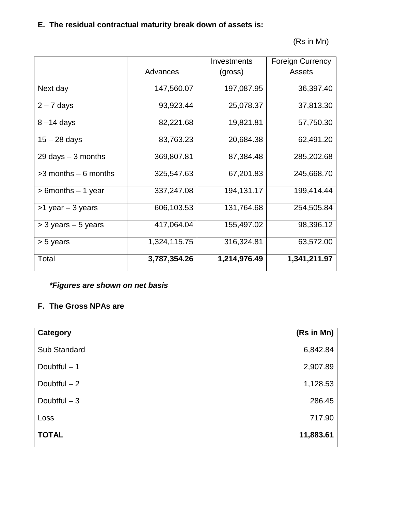# **E. The residual contractual maturity break down of assets is:**

(Rs in Mn)

|                                      |              | Investments  | <b>Foreign Currency</b> |
|--------------------------------------|--------------|--------------|-------------------------|
|                                      | Advances     | (gross)      | Assets                  |
| Next day                             | 147,560.07   | 197,087.95   | 36,397.40               |
| $2 - 7$ days                         | 93,923.44    | 25,078.37    | 37,813.30               |
| $8 - 14$ days                        | 82,221.68    | 19,821.81    | 57,750.30               |
| $15 - 28$ days                       | 83,763.23    | 20,684.38    | 62,491.20               |
| $29 \text{ days} - 3 \text{ months}$ | 369,807.81   | 87,384.48    | 285,202.68              |
| $>3$ months $-6$ months              | 325,547.63   | 67,201.83    | 245,668.70              |
| $> 6$ months $-1$ year               | 337,247.08   | 194,131.17   | 199,414.44              |
| $>1$ year $-3$ years                 | 606,103.53   | 131,764.68   | 254,505.84              |
| $>$ 3 years $-$ 5 years              | 417,064.04   | 155,497.02   | 98,396.12               |
| > 5 years                            | 1,324,115.75 | 316,324.81   | 63,572.00               |
| Total                                | 3,787,354.26 | 1,214,976.49 | 1,341,211.97            |

# *\*Figures are shown on net basis*

# **F. The Gross NPAs are**

| Category      | (Rs in Mn) |
|---------------|------------|
|               |            |
| Sub Standard  | 6,842.84   |
| Doubtful $-1$ | 2,907.89   |
| Doubtful $-2$ | 1,128.53   |
| Doubtful $-3$ | 286.45     |
| Loss          | 717.90     |
| <b>TOTAL</b>  | 11,883.61  |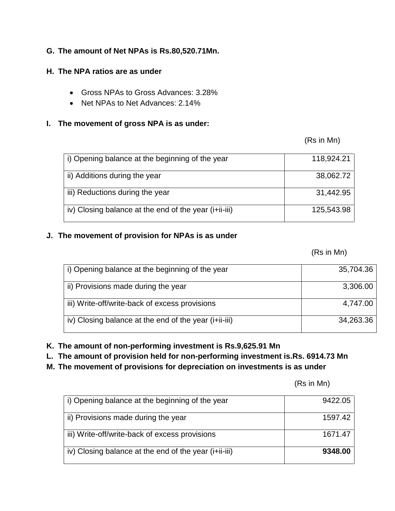## **G. The amount of Net NPAs is Rs.80,520.71Mn.**

### **H. The NPA ratios are as under**

- Gross NPAs to Gross Advances: 3.28%
- Net NPAs to Net Advances: 2.14%

## **I. The movement of gross NPA is as under:**

(Rs in Mn)

| i) Opening balance at the beginning of the year      | 118,924.21 |
|------------------------------------------------------|------------|
| ii) Additions during the year                        | 38,062.72  |
| iii) Reductions during the year                      | 31,442.95  |
| iv) Closing balance at the end of the year $(i+iii)$ | 125,543.98 |

# **J. The movement of provision for NPAs is as under**

(Rs in Mn)

| i) Opening balance at the beginning of the year      | 35,704.36 |
|------------------------------------------------------|-----------|
| ii) Provisions made during the year                  | 3,306.00  |
| iii) Write-off/write-back of excess provisions       | 4,747.00  |
| iv) Closing balance at the end of the year $(i+iii)$ | 34,263.36 |

**K. The amount of non-performing investment is Rs.9,625.91 Mn**

**L. The amount of provision held for non-performing investment is.Rs. 6914.73 Mn**

**M. The movement of provisions for depreciation on investments is as under**

| (Rs in Mn) |
|------------|
|------------|

| i) Opening balance at the beginning of the year      | 9422.05 |
|------------------------------------------------------|---------|
| ii) Provisions made during the year                  | 1597.42 |
| iii) Write-off/write-back of excess provisions       | 1671.47 |
| iv) Closing balance at the end of the year $(i+iii)$ | 9348.00 |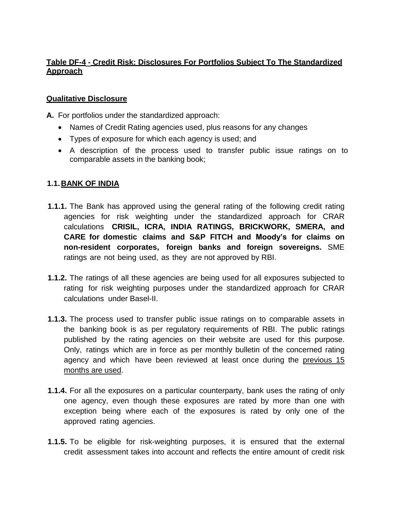# **Table DF-4 - Credit Risk: Disclosures For Portfolios Subject To The Standardized Approach**

### **Qualitative Disclosure**

**A.** For portfolios under the standardized approach:

- Names of Credit Rating agencies used, plus reasons for any changes
- Types of exposure for which each agency is used; and
- A description of the process used to transfer public issue ratings on to comparable assets in the banking book;

## **1.1.BANK OF INDIA**

- **1.1.1.** The Bank has approved using the general rating of the following credit rating agencies for risk weighting under the standardized approach for CRAR calculations **CRISIL, ICRA, INDIA RATINGS, BRICKWORK, SMERA, and CARE for domestic claims and S&P FITCH and Moody's for claims on non-resident corporates, foreign banks and foreign sovereigns.** SME ratings are not being used, as they are not approved by RBI.
- **1.1.2.** The ratings of all these agencies are being used for all exposures subjected to rating for risk weighting purposes under the standardized approach for CRAR calculations under Basel-II.
- **1.1.3.** The process used to transfer public issue ratings on to comparable assets in the banking book is as per regulatory requirements of RBI. The public ratings published by the rating agencies on their website are used for this purpose. Only, ratings which are in force as per monthly bulletin of the concerned rating agency and which have been reviewed at least once during the previous 15 months are used.
- **1.1.4.** For all the exposures on a particular counterparty, bank uses the rating of only one agency, even though these exposures are rated by more than one with exception being where each of the exposures is rated by only one of the approved rating agencies.
- **1.1.5.** To be eligible for risk-weighting purposes, it is ensured that the external credit assessment takes into account and reflects the entire amount of credit risk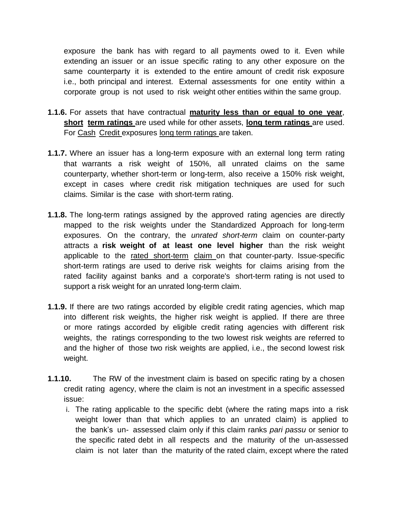exposure the bank has with regard to all payments owed to it. Even while extending an issuer or an issue specific rating to any other exposure on the same counterparty it is extended to the entire amount of credit risk exposure i.e., both principal and interest. External assessments for one entity within a corporate group is not used to risk weight other entities within the same group.

- **1.1.6.** For assets that have contractual **maturity less than or equal to one year**, **short term ratings** are used while for other assets, **long term ratings** are used. For Cash Credit exposures long term ratings are taken.
- **1.1.7.** Where an issuer has a long-term exposure with an external long term rating that warrants a risk weight of 150%, all unrated claims on the same counterparty, whether short-term or long-term, also receive a 150% risk weight, except in cases where credit risk mitigation techniques are used for such claims. Similar is the case with short-term rating.
- **1.1.8.** The long-term ratings assigned by the approved rating agencies are directly mapped to the risk weights under the Standardized Approach for long-term exposures. On the contrary, the *unrated short-term* claim on counter-party attracts a **risk weight of at least one level higher** than the risk weight applicable to the rated short-term claim on that counter-party. Issue-specific short-term ratings are used to derive risk weights for claims arising from the rated facility against banks and a corporate's short-term rating is not used to support a risk weight for an unrated long-term claim.
- **1.1.9.** If there are two ratings accorded by eligible credit rating agencies, which map into different risk weights, the higher risk weight is applied. If there are three or more ratings accorded by eligible credit rating agencies with different risk weights, the ratings corresponding to the two lowest risk weights are referred to and the higher of those two risk weights are applied, i.e., the second lowest risk weight.
- **1.1.10.** The RW of the investment claim is based on specific rating by a chosen credit rating agency, where the claim is not an investment in a specific assessed issue:
	- i. The rating applicable to the specific debt (where the rating maps into a risk weight lower than that which applies to an unrated claim) is applied to the bank"s un- assessed claim only if this claim ranks *pari passu* or senior to the specific rated debt in all respects and the maturity of the un-assessed claim is not later than the maturity of the rated claim, except where the rated